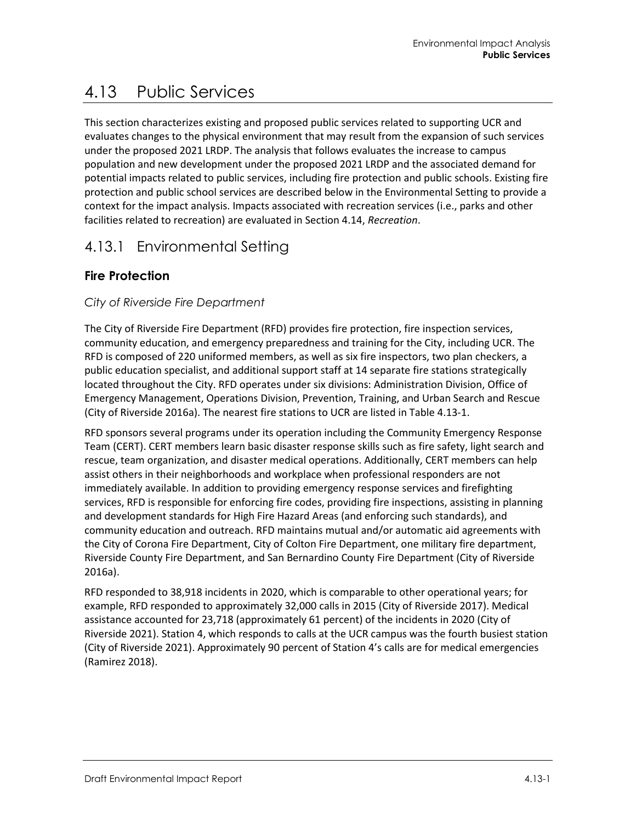# 4.13 Public Services

This section characterizes existing and proposed public services related to supporting UCR and evaluates changes to the physical environment that may result from the expansion of such services under the proposed 2021 LRDP. The analysis that follows evaluates the increase to campus population and new development under the proposed 2021 LRDP and the associated demand for potential impacts related to public services, including fire protection and public schools. Existing fire protection and public school services are described below in the Environmental Setting to provide a context for the impact analysis. Impacts associated with recreation services (i.e., parks and other facilities related to recreation) are evaluated in Section 4.14, *Recreation*.

# 4.13.1 Environmental Setting

## **Fire Protection**

### *City of Riverside Fire Department*

The City of Riverside Fire Department (RFD) provides fire protection, fire inspection services, community education, and emergency preparedness and training for the City, including UCR. The RFD is composed of 220 uniformed members, as well as six fire inspectors, two plan checkers, a public education specialist, and additional support staff at 14 separate fire stations strategically located throughout the City. RFD operates under six divisions: Administration Division, Office of Emergency Management, Operations Division, Prevention, Training, and Urban Search and Rescue (City of Riverside 2016a). The nearest fire stations to UCR are listed in [Table 4.13-1.](#page-1-0)

RFD sponsors several programs under its operation including the Community Emergency Response Team (CERT). CERT members learn basic disaster response skills such as fire safety, light search and rescue, team organization, and disaster medical operations. Additionally, CERT members can help assist others in their neighborhoods and workplace when professional responders are not immediately available. In addition to providing emergency response services and firefighting services, RFD is responsible for enforcing fire codes, providing fire inspections, assisting in planning and development standards for High Fire Hazard Areas (and enforcing such standards), and community education and outreach. RFD maintains mutual and/or automatic aid agreements with the City of Corona Fire Department, City of Colton Fire Department, one military fire department, Riverside County Fire Department, and San Bernardino County Fire Department (City of Riverside 2016a).

RFD responded to 38,918 incidents in 2020, which is comparable to other operational years; for example, RFD responded to approximately 32,000 calls in 2015 (City of Riverside 2017). Medical assistance accounted for 23,718 (approximately 61 percent) of the incidents in 2020 (City of Riverside 2021). Station 4, which responds to calls at the UCR campus was the fourth busiest station (City of Riverside 2021). Approximately 90 percent of Station 4's calls are for medical emergencies (Ramirez 2018).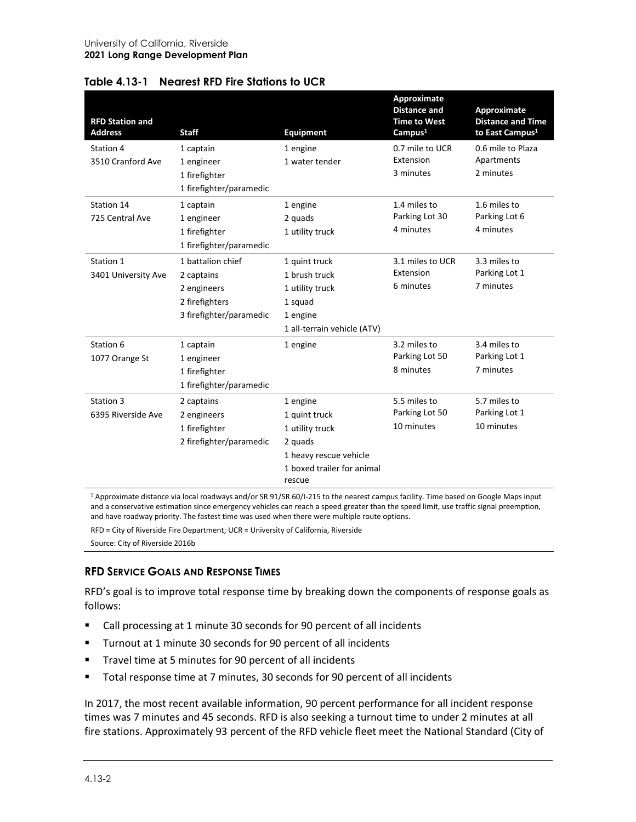<span id="page-1-0"></span>

| Table 4.13-1 Nearest RFD Fire Stations to UCR |  |  |
|-----------------------------------------------|--|--|
|                                               |  |  |

| <b>RFD Station and</b><br><b>Address</b> | <b>Staff</b>                                                                                | <b>Equipment</b>                                                                                                          | Approximate<br><b>Distance and</b><br><b>Time to West</b><br>Campus <sup>1</sup> | Approximate<br><b>Distance and Time</b><br>to East Campus <sup>1</sup> |
|------------------------------------------|---------------------------------------------------------------------------------------------|---------------------------------------------------------------------------------------------------------------------------|----------------------------------------------------------------------------------|------------------------------------------------------------------------|
| Station 4<br>3510 Cranford Ave           | 1 captain<br>1 engineer<br>1 firefighter<br>1 firefighter/paramedic                         | 1 engine<br>1 water tender                                                                                                | 0.7 mile to UCR<br>Extension<br>3 minutes                                        | 0.6 mile to Plaza<br>Apartments<br>2 minutes                           |
| Station 14<br>725 Central Ave            | 1 captain<br>1 engineer<br>1 firefighter<br>1 firefighter/paramedic                         | 1 engine<br>2 quads<br>1 utility truck                                                                                    | 1.4 miles to<br>Parking Lot 30<br>4 minutes                                      | 1.6 miles to<br>Parking Lot 6<br>4 minutes                             |
| Station 1<br>3401 University Ave         | 1 battalion chief<br>2 captains<br>2 engineers<br>2 firefighters<br>3 firefighter/paramedic | 1 quint truck<br>1 brush truck<br>1 utility truck<br>1 squad<br>1 engine<br>1 all-terrain vehicle (ATV)                   | 3.1 miles to UCR<br>Extension<br>6 minutes                                       | 3.3 miles to<br>Parking Lot 1<br>7 minutes                             |
| Station 6<br>1077 Orange St              | 1 captain<br>1 engineer<br>1 firefighter<br>1 firefighter/paramedic                         | 1 engine                                                                                                                  | 3.2 miles to<br>Parking Lot 50<br>8 minutes                                      | 3.4 miles to<br>Parking Lot 1<br>7 minutes                             |
| Station 3<br>6395 Riverside Ave          | 2 captains<br>2 engineers<br>1 firefighter<br>2 firefighter/paramedic                       | 1 engine<br>1 quint truck<br>1 utility truck<br>2 quads<br>1 heavy rescue vehicle<br>1 boxed trailer for animal<br>rescue | 5.5 miles to<br>Parking Lot 50<br>10 minutes                                     | 5.7 miles to<br>Parking Lot 1<br>10 minutes                            |

<sup>1</sup> Approximate distance via local roadways and/or SR 91/SR 60/I-215 to the nearest campus facility. Time based on Google Maps input and a conservative estimation since emergency vehicles can reach a speed greater than the speed limit, use traffic signal preemption, and have roadway priority. The fastest time was used when there were multiple route options.

RFD = City of Riverside Fire Department; UCR = University of California, Riverside

Source: City of Riverside 2016b

#### **RFD SERVICE GOALS AND RESPONSE TIMES**

RFD's goal is to improve total response time by breaking down the components of response goals as follows:

- Call processing at 1 minute 30 seconds for 90 percent of all incidents
- Turnout at 1 minute 30 seconds for 90 percent of all incidents
- Travel time at 5 minutes for 90 percent of all incidents
- Total response time at 7 minutes, 30 seconds for 90 percent of all incidents

In 2017, the most recent available information, 90 percent performance for all incident response times was 7 minutes and 45 seconds. RFD is also seeking a turnout time to under 2 minutes at all fire stations. Approximately 93 percent of the RFD vehicle fleet meet the National Standard (City of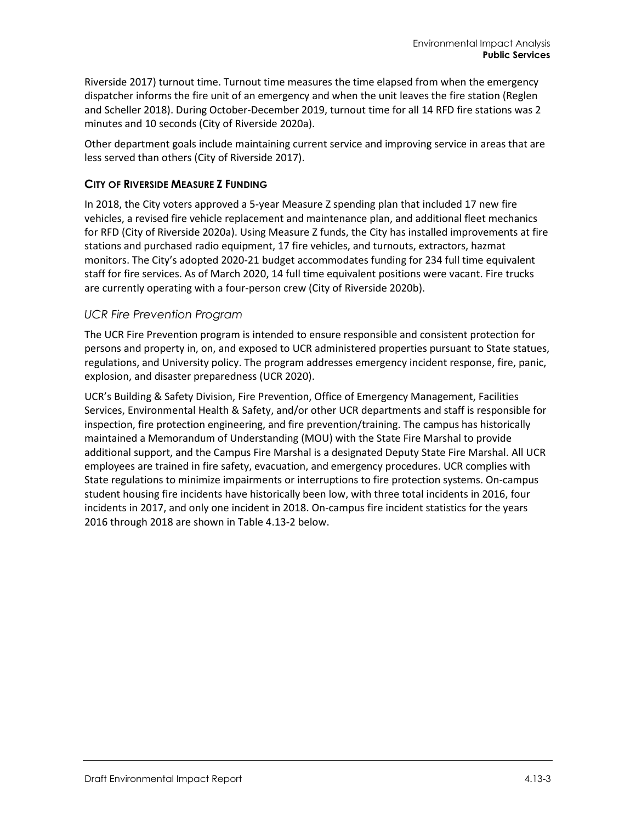Riverside 2017) turnout time. Turnout time measures the time elapsed from when the emergency dispatcher informs the fire unit of an emergency and when the unit leaves the fire station (Reglen and Scheller 2018). During October-December 2019, turnout time for all 14 RFD fire stations was 2 minutes and 10 seconds (City of Riverside 2020a).

Other department goals include maintaining current service and improving service in areas that are less served than others (City of Riverside 2017).

#### **CITY OF RIVERSIDE MEASURE Z FUNDING**

In 2018, the City voters approved a 5-year Measure Z spending plan that included 17 new fire vehicles, a revised fire vehicle replacement and maintenance plan, and additional fleet mechanics for RFD (City of Riverside 2020a). Using Measure Z funds, the City has installed improvements at fire stations and purchased radio equipment, 17 fire vehicles, and turnouts, extractors, hazmat monitors. The City's adopted 2020-21 budget accommodates funding for 234 full time equivalent staff for fire services. As of March 2020, 14 full time equivalent positions were vacant. Fire trucks are currently operating with a four-person crew (City of Riverside 2020b).

#### *UCR Fire Prevention Program*

The UCR Fire Prevention program is intended to ensure responsible and consistent protection for persons and property in, on, and exposed to UCR administered properties pursuant to State statues, regulations, and University policy. The program addresses emergency incident response, fire, panic, explosion, and disaster preparedness (UCR 2020).

UCR's Building & Safety Division, Fire Prevention, Office of Emergency Management, Facilities Services, Environmental Health & Safety, and/or other UCR departments and staff is responsible for inspection, fire protection engineering, and fire prevention/training. The campus has historically maintained a Memorandum of Understanding (MOU) with the State Fire Marshal to provide additional support, and the Campus Fire Marshal is a designated Deputy State Fire Marshal. All UCR employees are trained in fire safety, evacuation, and emergency procedures. UCR complies with State regulations to minimize impairments or interruptions to fire protection systems. On-campus student housing fire incidents have historically been low, with three total incidents in 2016, four incidents in 2017, and only one incident in 2018. On-campus fire incident statistics for the years 2016 through 2018 are shown in [Table 4.13-2](#page-3-0) below.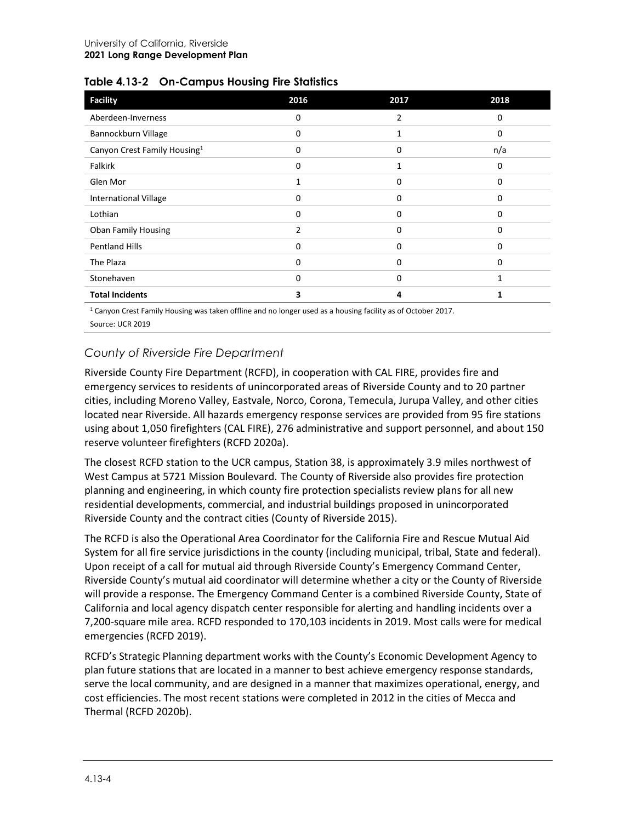| <b>Facility</b>                          | 2016           | 2017           | 2018 |
|------------------------------------------|----------------|----------------|------|
| Aberdeen-Inverness                       | 0              | $\overline{2}$ | 0    |
| Bannockburn Village                      | 0              | $\mathbf{1}$   | 0    |
| Canyon Crest Family Housing <sup>1</sup> | 0              | 0              | n/a  |
| Falkirk                                  | 0              | $\mathbf{1}$   | 0    |
| Glen Mor                                 | $\mathbf{1}$   | 0              | 0    |
| <b>International Village</b>             | 0              | 0              | 0    |
| Lothian                                  | 0              | 0              | 0    |
| <b>Oban Family Housing</b>               | $\overline{2}$ | $\Omega$       | 0    |
| <b>Pentland Hills</b>                    | 0              | 0              | 0    |
| The Plaza                                | 0              | 0              | 0    |
| Stonehaven                               | 0              | 0              | 1    |
| <b>Total Incidents</b>                   | 3              | 4              |      |

<span id="page-3-0"></span>

| Table 4.13-2 On-Campus Housing Fire Statistics |  |  |  |  |  |
|------------------------------------------------|--|--|--|--|--|
|------------------------------------------------|--|--|--|--|--|

<sup>1</sup> Canyon Crest Family Housing was taken offline and no longer used as a housing facility as of October 2017. Source: UCR 2019

#### *County of Riverside Fire Department*

Riverside County Fire Department (RCFD), in cooperation with CAL FIRE, provides fire and emergency services to residents of unincorporated areas of Riverside County and to 20 partner cities, including Moreno Valley, Eastvale, Norco, Corona, Temecula, Jurupa Valley, and other cities located near Riverside. All hazards emergency response services are provided from 95 fire stations using about 1,050 firefighters (CAL FIRE), 276 administrative and support personnel, and about 150 reserve volunteer firefighters (RCFD 2020a).

The closest RCFD station to the UCR campus, Station 38, is approximately 3.9 miles northwest of West Campus at 5721 Mission Boulevard. The County of Riverside also provides fire protection planning and engineering, in which county fire protection specialists review plans for all new residential developments, commercial, and industrial buildings proposed in unincorporated Riverside County and the contract cities (County of Riverside 2015).

The RCFD is also the Operational Area Coordinator for the California Fire and Rescue Mutual Aid System for all fire service jurisdictions in the county (including municipal, tribal, State and federal). Upon receipt of a call for mutual aid through Riverside County's Emergency Command Center, Riverside County's mutual aid coordinator will determine whether a city or the County of Riverside will provide a response. The Emergency Command Center is a combined Riverside County, State of California and local agency dispatch center responsible for alerting and handling incidents over a 7,200-square mile area. RCFD responded to 170,103 incidents in 2019. Most calls were for medical emergencies (RCFD 2019).

RCFD's Strategic Planning department works with the County's Economic Development Agency to plan future stations that are located in a manner to best achieve emergency response standards, serve the local community, and are designed in a manner that maximizes operational, energy, and cost efficiencies. The most recent stations were completed in 2012 in the cities of Mecca and Thermal (RCFD 2020b).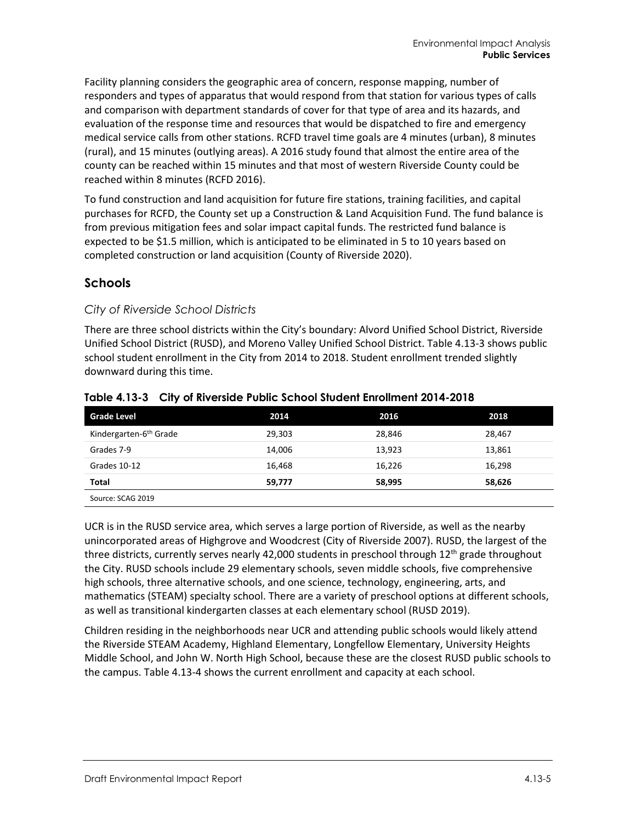Facility planning considers the geographic area of concern, response mapping, number of responders and types of apparatus that would respond from that station for various types of calls and comparison with department standards of cover for that type of area and its hazards, and evaluation of the response time and resources that would be dispatched to fire and emergency medical service calls from other stations. RCFD travel time goals are 4 minutes (urban), 8 minutes (rural), and 15 minutes (outlying areas). A 2016 study found that almost the entire area of the county can be reached within 15 minutes and that most of western Riverside County could be reached within 8 minutes (RCFD 2016).

To fund construction and land acquisition for future fire stations, training facilities, and capital purchases for RCFD, the County set up a Construction & Land Acquisition Fund. The fund balance is from previous mitigation fees and solar impact capital funds. The restricted fund balance is expected to be \$1.5 million, which is anticipated to be eliminated in 5 to 10 years based on completed construction or land acquisition (County of Riverside 2020).

#### **Schools**

#### *City of Riverside School Districts*

There are three school districts within the City's boundary: Alvord Unified School District, Riverside Unified School District (RUSD), and Moreno Valley Unified School District. [Table 4.13-3](#page-4-0) shows public school student enrollment in the City from 2014 to 2018. Student enrollment trended slightly downward during this time.

| <b>Grade Level</b>                 | 2014   | 2016   | 2018   |
|------------------------------------|--------|--------|--------|
|                                    |        |        |        |
| Kindergarten-6 <sup>th</sup> Grade | 29.303 | 28,846 | 28,467 |
| Grades 7-9                         | 14,006 | 13,923 | 13,861 |
| Grades 10-12                       | 16.468 | 16,226 | 16,298 |
| <b>Total</b>                       | 59,777 | 58,995 | 58,626 |
| Source: SCAG 2019                  |        |        |        |

<span id="page-4-0"></span>**Table 4.13-3 City of Riverside Public School Student Enrollment 2014-2018**

UCR is in the RUSD service area, which serves a large portion of Riverside, as well as the nearby unincorporated areas of Highgrove and Woodcrest (City of Riverside 2007). RUSD, the largest of the three districts, currently serves nearly 42,000 students in preschool through 12<sup>th</sup> grade throughout the City. RUSD schools include 29 elementary schools, seven middle schools, five comprehensive high schools, three alternative schools, and one science, technology, engineering, arts, and mathematics (STEAM) specialty school. There are a variety of preschool options at different schools, as well as transitional kindergarten classes at each elementary school (RUSD 2019).

Children residing in the neighborhoods near UCR and attending public schools would likely attend the Riverside STEAM Academy, Highland Elementary, Longfellow Elementary, University Heights Middle School, and John W. North High School, because these are the closest RUSD public schools to the campus. [Table 4.13-4](#page-5-0) shows the current enrollment and capacity at each school.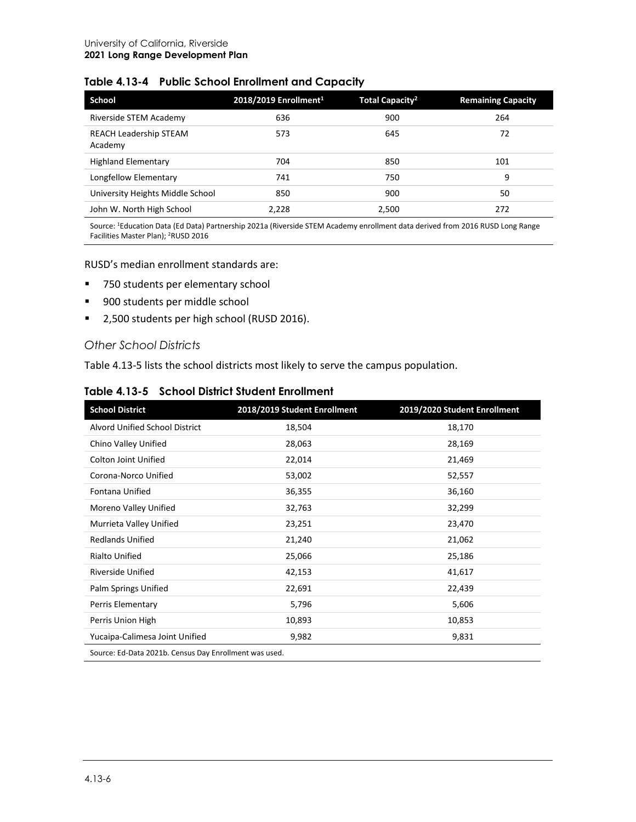| <b>School</b>                            | 2018/2019 Enrollment <sup>1</sup> | <b>Total Capacity<sup>2</sup></b> | <b>Remaining Capacity</b> |
|------------------------------------------|-----------------------------------|-----------------------------------|---------------------------|
| Riverside STEM Academy                   | 636                               | 900                               | 264                       |
| <b>REACH Leadership STEAM</b><br>Academy | 573                               | 645                               | 72                        |
| <b>Highland Elementary</b>               | 704                               | 850                               | 101                       |
| Longfellow Elementary                    | 741                               | 750                               | 9                         |
| University Heights Middle School         | 850                               | 900                               | 50                        |
| John W. North High School                | 2.228                             | 2,500                             | 272                       |

#### <span id="page-5-0"></span>**Table 4.13-4 Public School Enrollment and Capacity**

Source: 1Education Data (Ed Data) Partnership 2021a (Riverside STEM Academy enrollment data derived from 2016 RUSD Long Range Facilities Master Plan); 2RUSD 2016

#### RUSD's median enrollment standards are:

- 750 students per elementary school
- **900 students per middle school**
- 2,500 students per high school (RUSD 2016).

#### *Other School Districts*

[Table 4.13-5](#page-5-1) lists the school districts most likely to serve the campus population.

#### <span id="page-5-1"></span>**Table 4.13-5 School District Student Enrollment**

| <b>School District</b>                                 | 2018/2019 Student Enrollment | 2019/2020 Student Enrollment |
|--------------------------------------------------------|------------------------------|------------------------------|
| Alvord Unified School District                         | 18,504                       | 18,170                       |
| Chino Valley Unified                                   | 28,063                       | 28,169                       |
| <b>Colton Joint Unified</b>                            | 22,014                       | 21,469                       |
| Corona-Norco Unified                                   | 53,002                       | 52,557                       |
| Fontana Unified                                        | 36,355                       | 36,160                       |
| Moreno Valley Unified                                  | 32,763                       | 32,299                       |
| Murrieta Valley Unified                                | 23,251                       | 23,470                       |
| <b>Redlands Unified</b>                                | 21,240                       | 21,062                       |
| <b>Rialto Unified</b>                                  | 25,066                       | 25,186                       |
| <b>Riverside Unified</b>                               | 42,153                       | 41,617                       |
| Palm Springs Unified                                   | 22,691                       | 22,439                       |
| Perris Elementary                                      | 5,796                        | 5,606                        |
| Perris Union High                                      | 10,893                       | 10,853                       |
| Yucaipa-Calimesa Joint Unified                         | 9,982                        | 9,831                        |
| Source: Ed-Data 2021b. Census Day Enrollment was used. |                              |                              |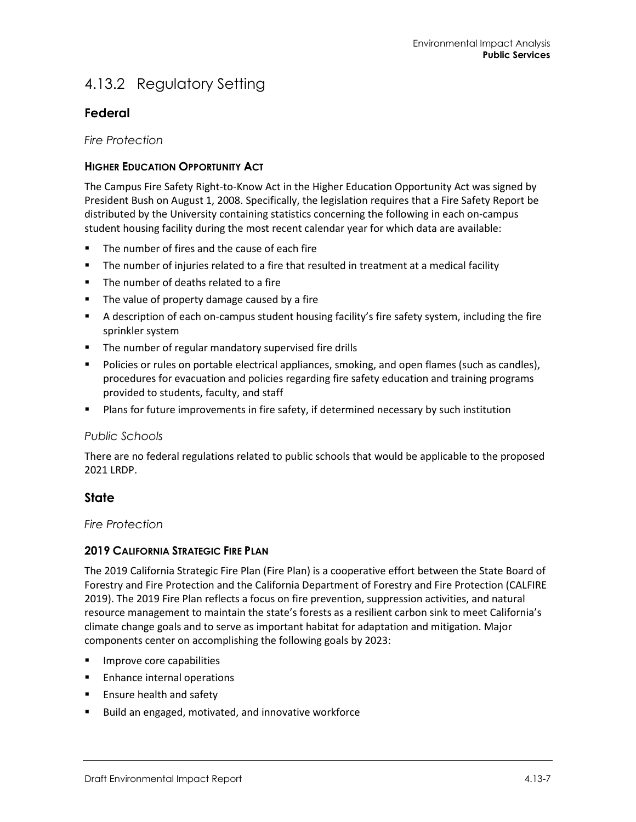## 4.13.2 Regulatory Setting

## **Federal**

*Fire Protection*

#### **HIGHER EDUCATION OPPORTUNITY ACT**

The Campus Fire Safety Right-to-Know Act in the Higher Education Opportunity Act was signed by President Bush on August 1, 2008. Specifically, the legislation requires that a Fire Safety Report be distributed by the University containing statistics concerning the following in each on-campus student housing facility during the most recent calendar year for which data are available:

- The number of fires and the cause of each fire
- The number of injuries related to a fire that resulted in treatment at a medical facility
- The number of deaths related to a fire
- **The value of property damage caused by a fire**
- A description of each on-campus student housing facility's fire safety system, including the fire sprinkler system
- **The number of regular mandatory supervised fire drills**
- Policies or rules on portable electrical appliances, smoking, and open flames (such as candles), procedures for evacuation and policies regarding fire safety education and training programs provided to students, faculty, and staff
- **Plans for future improvements in fire safety, if determined necessary by such institution**

#### *Public Schools*

There are no federal regulations related to public schools that would be applicable to the proposed 2021 LRDP.

#### **State**

*Fire Protection*

#### **2019 CALIFORNIA STRATEGIC FIRE PLAN**

The 2019 California Strategic Fire Plan (Fire Plan) is a cooperative effort between the State Board of Forestry and Fire Protection and the California Department of Forestry and Fire Protection (CALFIRE 2019). The 2019 Fire Plan reflects a focus on fire prevention, suppression activities, and natural resource management to maintain the state's forests as a resilient carbon sink to meet California's climate change goals and to serve as important habitat for adaptation and mitigation. Major components center on accomplishing the following goals by 2023:

- Improve core capabilities
- **Enhance internal operations**
- **Ensure health and safety**
- Build an engaged, motivated, and innovative workforce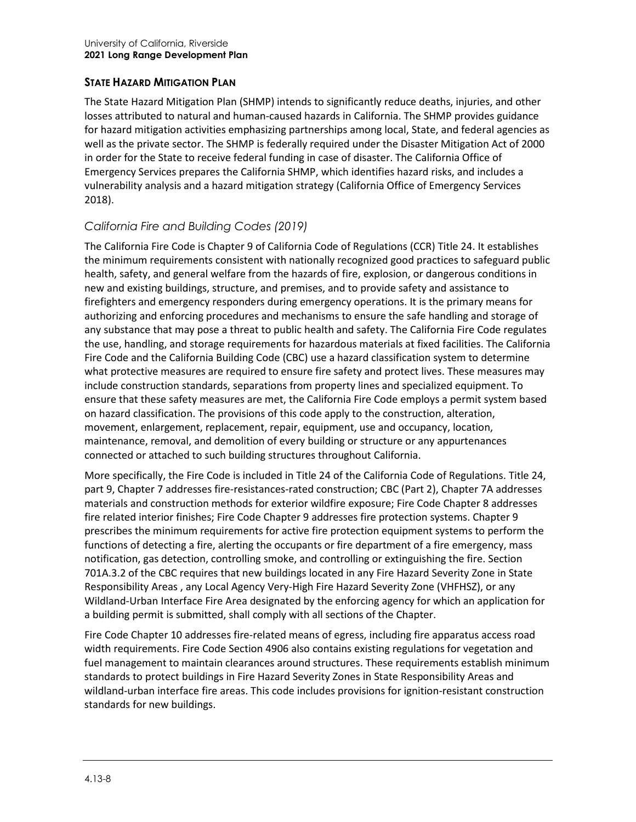#### **STATE HAZARD MITIGATION PLAN**

The State Hazard Mitigation Plan (SHMP) intends to significantly reduce deaths, injuries, and other losses attributed to natural and human-caused hazards in California. The SHMP provides guidance for hazard mitigation activities emphasizing partnerships among local, State, and federal agencies as well as the private sector. The SHMP is federally required under the Disaster Mitigation Act of 2000 in order for the State to receive federal funding in case of disaster. The California Office of Emergency Services prepares the California SHMP, which identifies hazard risks, and includes a vulnerability analysis and a hazard mitigation strategy (California Office of Emergency Services 2018).

#### *California Fire and Building Codes (2019)*

The California Fire Code is Chapter 9 of California Code of Regulations (CCR) Title 24. It establishes the minimum requirements consistent with nationally recognized good practices to safeguard public health, safety, and general welfare from the hazards of fire, explosion, or dangerous conditions in new and existing buildings, structure, and premises, and to provide safety and assistance to firefighters and emergency responders during emergency operations. It is the primary means for authorizing and enforcing procedures and mechanisms to ensure the safe handling and storage of any substance that may pose a threat to public health and safety. The California Fire Code regulates the use, handling, and storage requirements for hazardous materials at fixed facilities. The California Fire Code and the California Building Code (CBC) use a hazard classification system to determine what protective measures are required to ensure fire safety and protect lives. These measures may include construction standards, separations from property lines and specialized equipment. To ensure that these safety measures are met, the California Fire Code employs a permit system based on hazard classification. The provisions of this code apply to the construction, alteration, movement, enlargement, replacement, repair, equipment, use and occupancy, location, maintenance, removal, and demolition of every building or structure or any appurtenances connected or attached to such building structures throughout California.

More specifically, the Fire Code is included in Title 24 of the California Code of Regulations. Title 24, part 9, Chapter 7 addresses fire-resistances-rated construction; CBC (Part 2), Chapter 7A addresses materials and construction methods for exterior wildfire exposure; Fire Code Chapter 8 addresses fire related interior finishes; Fire Code Chapter 9 addresses fire protection systems. Chapter 9 prescribes the minimum requirements for active fire protection equipment systems to perform the functions of detecting a fire, alerting the occupants or fire department of a fire emergency, mass notification, gas detection, controlling smoke, and controlling or extinguishing the fire. Section 701A.3.2 of the CBC requires that new buildings located in any Fire Hazard Severity Zone in State Responsibility Areas , any Local Agency Very-High Fire Hazard Severity Zone (VHFHSZ), or any Wildland-Urban Interface Fire Area designated by the enforcing agency for which an application for a building permit is submitted, shall comply with all sections of the Chapter.

Fire Code Chapter 10 addresses fire-related means of egress, including fire apparatus access road width requirements. Fire Code Section 4906 also contains existing regulations for vegetation and fuel management to maintain clearances around structures. These requirements establish minimum standards to protect buildings in Fire Hazard Severity Zones in State Responsibility Areas and wildland-urban interface fire areas. This code includes provisions for ignition-resistant construction standards for new buildings.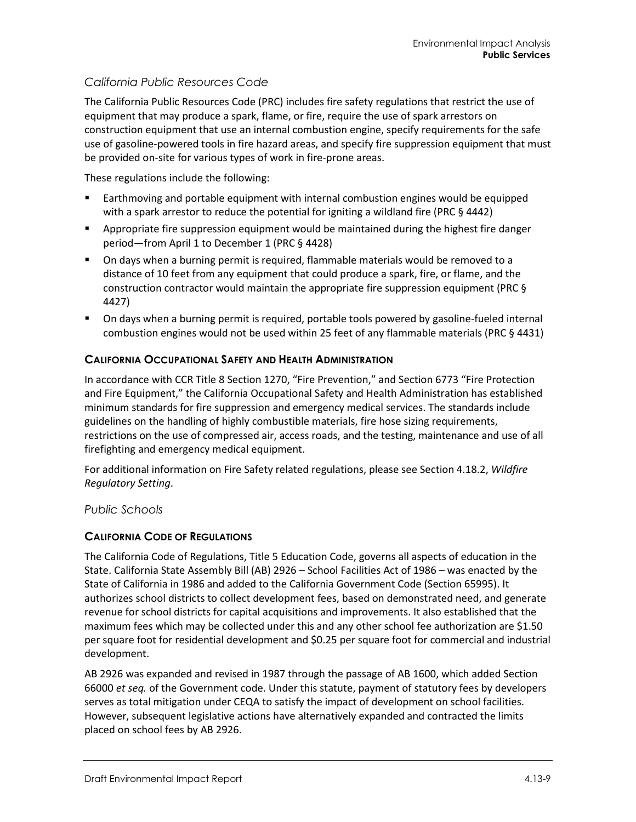#### *California Public Resources Code*

The California Public Resources Code (PRC) includes fire safety regulations that restrict the use of equipment that may produce a spark, flame, or fire, require the use of spark arrestors on construction equipment that use an internal combustion engine, specify requirements for the safe use of gasoline-powered tools in fire hazard areas, and specify fire suppression equipment that must be provided on-site for various types of work in fire-prone areas.

These regulations include the following:

- Earthmoving and portable equipment with internal combustion engines would be equipped with a spark arrestor to reduce the potential for igniting a wildland fire (PRC § 4442)
- Appropriate fire suppression equipment would be maintained during the highest fire danger period—from April 1 to December 1 (PRC § 4428)
- On days when a burning permit is required, flammable materials would be removed to a distance of 10 feet from any equipment that could produce a spark, fire, or flame, and the construction contractor would maintain the appropriate fire suppression equipment (PRC § 4427)
- **Deap 3** On days when a burning permit is required, portable tools powered by gasoline-fueled internal combustion engines would not be used within 25 feet of any flammable materials (PRC § 4431)

#### **CALIFORNIA OCCUPATIONAL SAFETY AND HEALTH ADMINISTRATION**

In accordance with CCR Title 8 Section 1270, "Fire Prevention," and Section 6773 "Fire Protection and Fire Equipment," the California Occupational Safety and Health Administration has established minimum standards for fire suppression and emergency medical services. The standards include guidelines on the handling of highly combustible materials, fire hose sizing requirements, restrictions on the use of compressed air, access roads, and the testing, maintenance and use of all firefighting and emergency medical equipment.

For additional information on Fire Safety related regulations, please see Section 4.18.2, *Wildfire Regulatory Setting*.

*Public Schools*

#### **CALIFORNIA CODE OF REGULATIONS**

The California Code of Regulations, Title 5 Education Code, governs all aspects of education in the State. California State Assembly Bill (AB) 2926 – School Facilities Act of 1986 – was enacted by the State of California in 1986 and added to the California Government Code (Section 65995). It authorizes school districts to collect development fees, based on demonstrated need, and generate revenue for school districts for capital acquisitions and improvements. It also established that the maximum fees which may be collected under this and any other school fee authorization are \$1.50 per square foot for residential development and \$0.25 per square foot for commercial and industrial development.

AB 2926 was expanded and revised in 1987 through the passage of AB 1600, which added Section 66000 *et seq.* of the Government code. Under this statute, payment of statutory fees by developers serves as total mitigation under CEQA to satisfy the impact of development on school facilities. However, subsequent legislative actions have alternatively expanded and contracted the limits placed on school fees by AB 2926.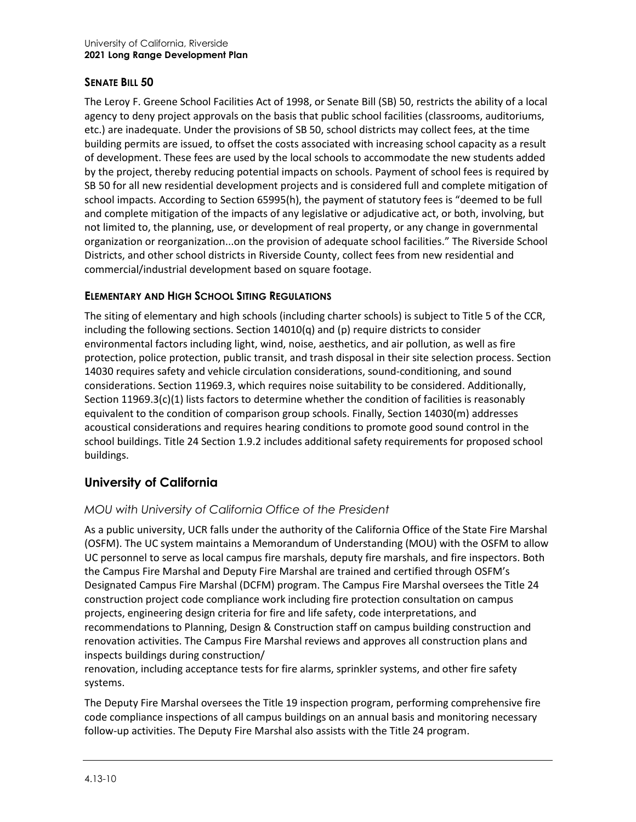#### **SENATE BILL 50**

The Leroy F. Greene School Facilities Act of 1998, or Senate Bill (SB) 50, restricts the ability of a local agency to deny project approvals on the basis that public school facilities (classrooms, auditoriums, etc.) are inadequate. Under the provisions of SB 50, school districts may collect fees, at the time building permits are issued, to offset the costs associated with increasing school capacity as a result of development. These fees are used by the local schools to accommodate the new students added by the project, thereby reducing potential impacts on schools. Payment of school fees is required by SB 50 for all new residential development projects and is considered full and complete mitigation of school impacts. According to Section 65995(h), the payment of statutory fees is "deemed to be full and complete mitigation of the impacts of any legislative or adjudicative act, or both, involving, but not limited to, the planning, use, or development of real property, or any change in governmental organization or reorganization...on the provision of adequate school facilities." The Riverside School Districts, and other school districts in Riverside County, collect fees from new residential and commercial/industrial development based on square footage.

#### **ELEMENTARY AND HIGH SCHOOL SITING REGULATIONS**

The siting of elementary and high schools (including charter schools) is subject to Title 5 of the CCR, including the following sections. Section 14010(q) and (p) require districts to consider environmental factors including light, wind, noise, aesthetics, and air pollution, as well as fire protection, police protection, public transit, and trash disposal in their site selection process. Section 14030 requires safety and vehicle circulation considerations, sound-conditioning, and sound considerations. Section 11969.3, which requires noise suitability to be considered. Additionally, Section 11969.3 $(c)(1)$  lists factors to determine whether the condition of facilities is reasonably equivalent to the condition of comparison group schools. Finally, Section 14030(m) addresses acoustical considerations and requires hearing conditions to promote good sound control in the school buildings. Title 24 Section 1.9.2 includes additional safety requirements for proposed school buildings.

## **University of California**

#### *MOU with University of California Office of the President*

As a public university, UCR falls under the authority of the California Office of the State Fire Marshal (OSFM). The UC system maintains a Memorandum of Understanding (MOU) with the OSFM to allow UC personnel to serve as local campus fire marshals, deputy fire marshals, and fire inspectors. Both the Campus Fire Marshal and Deputy Fire Marshal are trained and certified through OSFM's Designated Campus Fire Marshal (DCFM) program. The Campus Fire Marshal oversees the Title 24 construction project code compliance work including fire protection consultation on campus projects, engineering design criteria for fire and life safety, code interpretations, and recommendations to Planning, Design & Construction staff on campus building construction and renovation activities. The Campus Fire Marshal reviews and approves all construction plans and inspects buildings during construction/

renovation, including acceptance tests for fire alarms, sprinkler systems, and other fire safety systems.

The Deputy Fire Marshal oversees the Title 19 inspection program, performing comprehensive fire code compliance inspections of all campus buildings on an annual basis and monitoring necessary follow-up activities. The Deputy Fire Marshal also assists with the Title 24 program.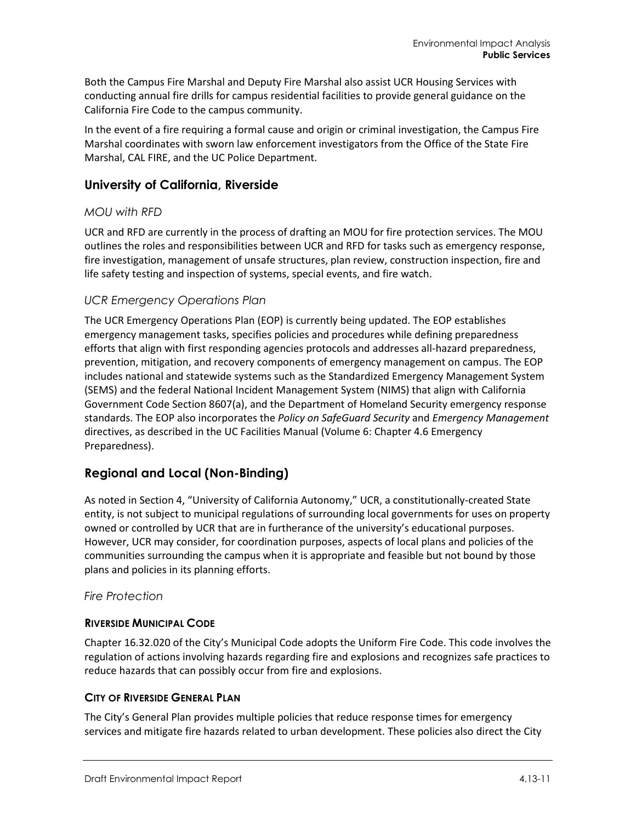Both the Campus Fire Marshal and Deputy Fire Marshal also assist UCR Housing Services with conducting annual fire drills for campus residential facilities to provide general guidance on the California Fire Code to the campus community.

In the event of a fire requiring a formal cause and origin or criminal investigation, the Campus Fire Marshal coordinates with sworn law enforcement investigators from the Office of the State Fire Marshal, CAL FIRE, and the UC Police Department.

### **University of California, Riverside**

#### *MOU with RFD*

UCR and RFD are currently in the process of drafting an MOU for fire protection services. The MOU outlines the roles and responsibilities between UCR and RFD for tasks such as emergency response, fire investigation, management of unsafe structures, plan review, construction inspection, fire and life safety testing and inspection of systems, special events, and fire watch.

#### *UCR Emergency Operations Plan*

The UCR Emergency Operations Plan (EOP) is currently being updated. The EOP establishes emergency management tasks, specifies policies and procedures while defining preparedness efforts that align with first responding agencies protocols and addresses all-hazard preparedness, prevention, mitigation, and recovery components of emergency management on campus. The EOP includes national and statewide systems such as the Standardized Emergency Management System (SEMS) and the federal National Incident Management System (NIMS) that align with California Government Code Section 8607(a), and the Department of Homeland Security emergency response standards. The EOP also incorporates the *Policy on SafeGuard Security* and *Emergency Management*  directives, as described in the UC Facilities Manual (Volume 6: Chapter 4.6 Emergency Preparedness).

## **Regional and Local (Non-Binding)**

As noted in Section 4, "University of California Autonomy," UCR, a constitutionally-created State entity, is not subject to municipal regulations of surrounding local governments for uses on property owned or controlled by UCR that are in furtherance of the university's educational purposes. However, UCR may consider, for coordination purposes, aspects of local plans and policies of the communities surrounding the campus when it is appropriate and feasible but not bound by those plans and policies in its planning efforts.

#### *Fire Protection*

#### **RIVERSIDE MUNICIPAL CODE**

Chapter 16.32.020 of the City's Municipal Code adopts the Uniform Fire Code. This code involves the regulation of actions involving hazards regarding fire and explosions and recognizes safe practices to reduce hazards that can possibly occur from fire and explosions.

#### **CITY OF RIVERSIDE GENERAL PLAN**

The City's General Plan provides multiple policies that reduce response times for emergency services and mitigate fire hazards related to urban development. These policies also direct the City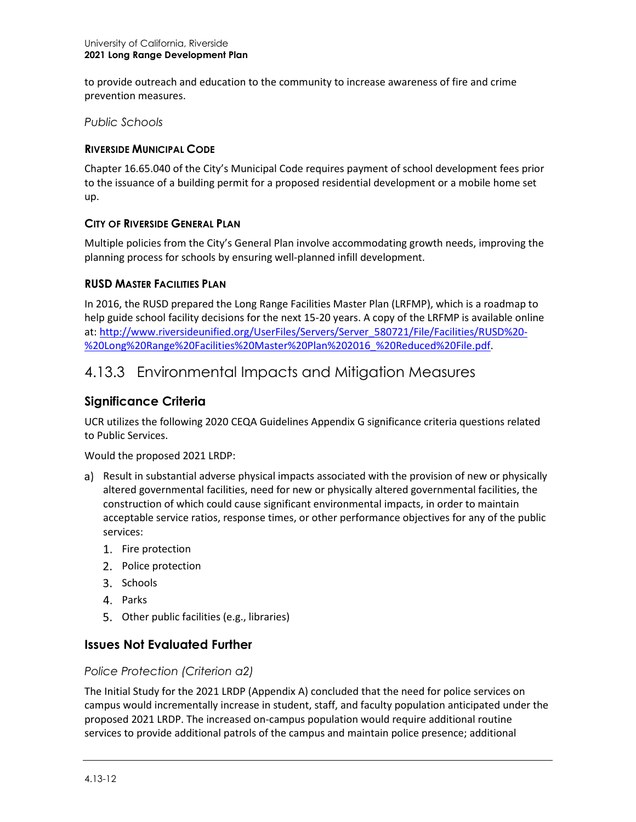to provide outreach and education to the community to increase awareness of fire and crime prevention measures.

*Public Schools*

#### **RIVERSIDE MUNICIPAL CODE**

Chapter 16.65.040 of the City's Municipal Code requires payment of school development fees prior to the issuance of a building permit for a proposed residential development or a mobile home set up.

#### **CITY OF RIVERSIDE GENERAL PLAN**

Multiple policies from the City's General Plan involve accommodating growth needs, improving the planning process for schools by ensuring well-planned infill development.

#### **RUSD MASTER FACILITIES PLAN**

In 2016, the RUSD prepared the Long Range Facilities Master Plan (LRFMP), which is a roadmap to help guide school facility decisions for the next 15-20 years. A copy of the LRFMP is available online at[: http://www.riversideunified.org/UserFiles/Servers/Server\\_580721/File/Facilities/RUSD%20-](http://www.riversideunified.org/UserFiles/Servers/Server_580721/File/Facilities/RUSD%20-%20Long%20Range%20Facilities%20Master%20Plan%202016_%20Reduced%20File.pdf) [%20Long%20Range%20Facilities%20Master%20Plan%202016\\_%20Reduced%20File.pdf.](http://www.riversideunified.org/UserFiles/Servers/Server_580721/File/Facilities/RUSD%20-%20Long%20Range%20Facilities%20Master%20Plan%202016_%20Reduced%20File.pdf)

## 4.13.3 Environmental Impacts and Mitigation Measures

#### **Significance Criteria**

UCR utilizes the following 2020 CEQA Guidelines Appendix G significance criteria questions related to Public Services.

Would the proposed 2021 LRDP:

- a) Result in substantial adverse physical impacts associated with the provision of new or physically altered governmental facilities, need for new or physically altered governmental facilities, the construction of which could cause significant environmental impacts, in order to maintain acceptable service ratios, response times, or other performance objectives for any of the public services:
	- 1. Fire protection
	- 2. Police protection
	- 3. Schools
	- 4. Parks
	- 5. Other public facilities (e.g., libraries)

#### **Issues Not Evaluated Further**

#### *Police Protection (Criterion a2)*

The Initial Study for the 2021 LRDP (Appendix A) concluded that the need for police services on campus would incrementally increase in student, staff, and faculty population anticipated under the proposed 2021 LRDP. The increased on-campus population would require additional routine services to provide additional patrols of the campus and maintain police presence; additional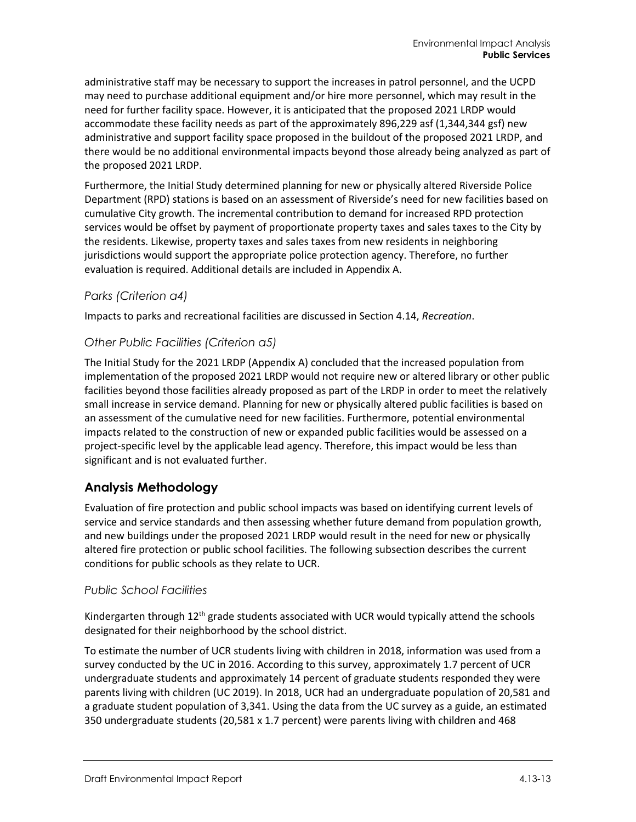administrative staff may be necessary to support the increases in patrol personnel, and the UCPD may need to purchase additional equipment and/or hire more personnel, which may result in the need for further facility space. However, it is anticipated that the proposed 2021 LRDP would accommodate these facility needs as part of the approximately 896,229 asf (1,344,344 gsf) new administrative and support facility space proposed in the buildout of the proposed 2021 LRDP, and there would be no additional environmental impacts beyond those already being analyzed as part of the proposed 2021 LRDP.

Furthermore, the Initial Study determined planning for new or physically altered Riverside Police Department (RPD) stations is based on an assessment of Riverside's need for new facilities based on cumulative City growth. The incremental contribution to demand for increased RPD protection services would be offset by payment of proportionate property taxes and sales taxes to the City by the residents. Likewise, property taxes and sales taxes from new residents in neighboring jurisdictions would support the appropriate police protection agency. Therefore, no further evaluation is required. Additional details are included in Appendix A.

#### *Parks (Criterion a4)*

Impacts to parks and recreational facilities are discussed in Section 4.14, *Recreation*.

#### *Other Public Facilities (Criterion a5)*

The Initial Study for the 2021 LRDP (Appendix A) concluded that the increased population from implementation of the proposed 2021 LRDP would not require new or altered library or other public facilities beyond those facilities already proposed as part of the LRDP in order to meet the relatively small increase in service demand. Planning for new or physically altered public facilities is based on an assessment of the cumulative need for new facilities. Furthermore, potential environmental impacts related to the construction of new or expanded public facilities would be assessed on a project-specific level by the applicable lead agency. Therefore, this impact would be less than significant and is not evaluated further.

#### **Analysis Methodology**

Evaluation of fire protection and public school impacts was based on identifying current levels of service and service standards and then assessing whether future demand from population growth, and new buildings under the proposed 2021 LRDP would result in the need for new or physically altered fire protection or public school facilities. The following subsection describes the current conditions for public schools as they relate to UCR.

#### *Public School Facilities*

Kindergarten through  $12<sup>th</sup>$  grade students associated with UCR would typically attend the schools designated for their neighborhood by the school district.

To estimate the number of UCR students living with children in 2018, information was used from a survey conducted by the UC in 2016. According to this survey, approximately 1.7 percent of UCR undergraduate students and approximately 14 percent of graduate students responded they were parents living with children (UC 2019). In 2018, UCR had an undergraduate population of 20,581 and a graduate student population of 3,341. Using the data from the UC survey as a guide, an estimated 350 undergraduate students (20,581 x 1.7 percent) were parents living with children and 468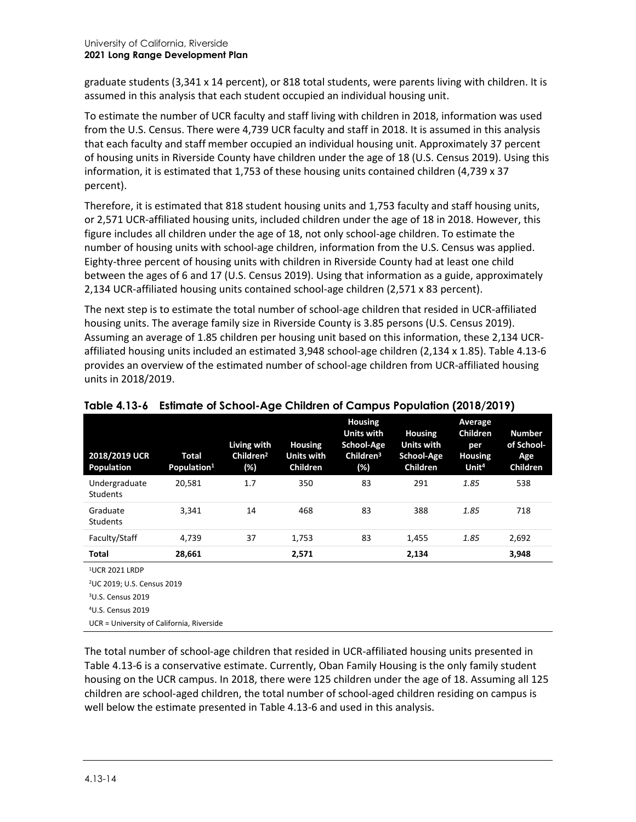graduate students (3,341 x 14 percent), or 818 total students, were parents living with children. It is assumed in this analysis that each student occupied an individual housing unit.

To estimate the number of UCR faculty and staff living with children in 2018, information was used from the U.S. Census. There were 4,739 UCR faculty and staff in 2018. It is assumed in this analysis that each faculty and staff member occupied an individual housing unit. Approximately 37 percent of housing units in Riverside County have children under the age of 18 (U.S. Census 2019). Using this information, it is estimated that 1,753 of these housing units contained children (4,739 x 37 percent).

Therefore, it is estimated that 818 student housing units and 1,753 faculty and staff housing units, or 2,571 UCR-affiliated housing units, included children under the age of 18 in 2018. However, this figure includes all children under the age of 18, not only school-age children. To estimate the number of housing units with school-age children, information from the U.S. Census was applied. Eighty-three percent of housing units with children in Riverside County had at least one child between the ages of 6 and 17 (U.S. Census 2019). Using that information as a guide, approximately 2,134 UCR-affiliated housing units contained school-age children (2,571 x 83 percent).

The next step is to estimate the total number of school-age children that resided in UCR-affiliated housing units. The average family size in Riverside County is 3.85 persons (U.S. Census 2019). Assuming an average of 1.85 children per housing unit based on this information, these 2,134 UCRaffiliated housing units included an estimated 3,948 school-age children (2,134 x 1.85). [Table 4.13-6](#page-13-0) provides an overview of the estimated number of school-age children from UCR-affiliated housing units in 2018/2019.

| 2018/2019 UCR<br>Population      | Total<br>Population <sup>1</sup> | Living with<br>Children <sup>2</sup><br>(%) | <b>Housing</b><br><b>Units with</b><br><b>Children</b> | <b>Housing</b><br><b>Units with</b><br><b>School-Age</b><br>Children <sup>3</sup><br>(%) | <b>Housing</b><br><b>Units with</b><br>School-Age<br><b>Children</b> | <b>Average</b><br><b>Children</b><br>per<br><b>Housing</b><br>Unit <sup>4</sup> | <b>Number</b><br>of School-<br>Age<br><b>Children</b> |
|----------------------------------|----------------------------------|---------------------------------------------|--------------------------------------------------------|------------------------------------------------------------------------------------------|----------------------------------------------------------------------|---------------------------------------------------------------------------------|-------------------------------------------------------|
| Undergraduate<br><b>Students</b> | 20.581                           | 1.7                                         | 350                                                    | 83                                                                                       | 291                                                                  | 1.85                                                                            | 538                                                   |
| Graduate<br><b>Students</b>      | 3.341                            | 14                                          | 468                                                    | 83                                                                                       | 388                                                                  | 1.85                                                                            | 718                                                   |
| Faculty/Staff                    | 4.739                            | 37                                          | 1,753                                                  | 83                                                                                       | 1,455                                                                | 1.85                                                                            | 2,692                                                 |
| Total                            | 28,661                           |                                             | 2,571                                                  |                                                                                          | 2,134                                                                |                                                                                 | 3,948                                                 |
|                                  |                                  |                                             |                                                        |                                                                                          |                                                                      |                                                                                 |                                                       |

<span id="page-13-0"></span>

1UCR 2021 LRDP

2UC 2019; U.S. Census 2019

UCR = University of California, Riverside

The total number of school-age children that resided in UCR-affiliated housing units presented in [Table 4.13-6](#page-13-0) is a conservative estimate. Currently, Oban Family Housing is the only family student housing on the UCR campus. In 2018, there were 125 children under the age of 18. Assuming all 125 children are school-aged children, the total number of school-aged children residing on campus is well below the estimate presented in [Table 4.13-6](#page-13-0) and used in this analysis.

<sup>3</sup>U.S. Census 2019

<sup>4</sup> U.S. Census 2019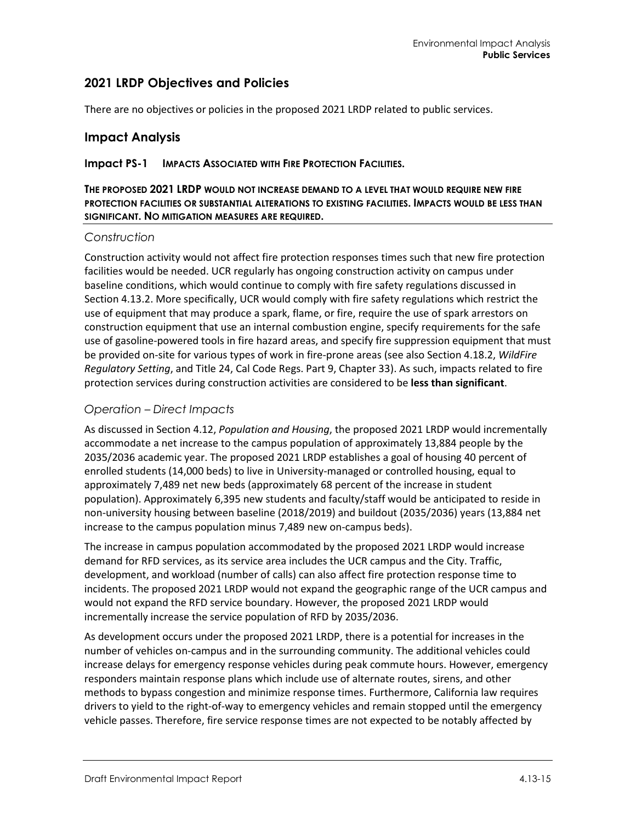### **2021 LRDP Objectives and Policies**

There are no objectives or policies in the proposed 2021 LRDP related to public services.

#### **Impact Analysis**

#### **Impact PS-1 IMPACTS ASSOCIATED WITH FIRE PROTECTION FACILITIES.**

#### **THE PROPOSED 2021 LRDP WOULD NOT INCREASE DEMAND TO A LEVEL THAT WOULD REQUIRE NEW FIRE PROTECTION FACILITIES OR SUBSTANTIAL ALTERATIONS TO EXISTING FACILITIES. IMPACTS WOULD BE LESS THAN SIGNIFICANT. NO MITIGATION MEASURES ARE REQUIRED.**

#### *Construction*

Construction activity would not affect fire protection responses times such that new fire protection facilities would be needed. UCR regularly has ongoing construction activity on campus under baseline conditions, which would continue to comply with fire safety regulations discussed in Section 4.13.2. More specifically, UCR would comply with fire safety regulations which restrict the use of equipment that may produce a spark, flame, or fire, require the use of spark arrestors on construction equipment that use an internal combustion engine, specify requirements for the safe use of gasoline-powered tools in fire hazard areas, and specify fire suppression equipment that must be provided on-site for various types of work in fire-prone areas (see also Section 4.18.2, *WildFire Regulatory Setting*, and Title 24, Cal Code Regs. Part 9, Chapter 33). As such, impacts related to fire protection services during construction activities are considered to be **less than significant**.

#### *Operation – Direct Impacts*

As discussed in Section 4.12, *Population and Housing*, the proposed 2021 LRDP would incrementally accommodate a net increase to the campus population of approximately 13,884 people by the 2035/2036 academic year. The proposed 2021 LRDP establishes a goal of housing 40 percent of enrolled students (14,000 beds) to live in University-managed or controlled housing, equal to approximately 7,489 net new beds (approximately 68 percent of the increase in student population). Approximately 6,395 new students and faculty/staff would be anticipated to reside in non-university housing between baseline (2018/2019) and buildout (2035/2036) years (13,884 net increase to the campus population minus 7,489 new on-campus beds).

The increase in campus population accommodated by the proposed 2021 LRDP would increase demand for RFD services, as its service area includes the UCR campus and the City. Traffic, development, and workload (number of calls) can also affect fire protection response time to incidents. The proposed 2021 LRDP would not expand the geographic range of the UCR campus and would not expand the RFD service boundary. However, the proposed 2021 LRDP would incrementally increase the service population of RFD by 2035/2036.

As development occurs under the proposed 2021 LRDP, there is a potential for increases in the number of vehicles on-campus and in the surrounding community. The additional vehicles could increase delays for emergency response vehicles during peak commute hours. However, emergency responders maintain response plans which include use of alternate routes, sirens, and other methods to bypass congestion and minimize response times. Furthermore, California law requires drivers to yield to the right-of-way to emergency vehicles and remain stopped until the emergency vehicle passes. Therefore, fire service response times are not expected to be notably affected by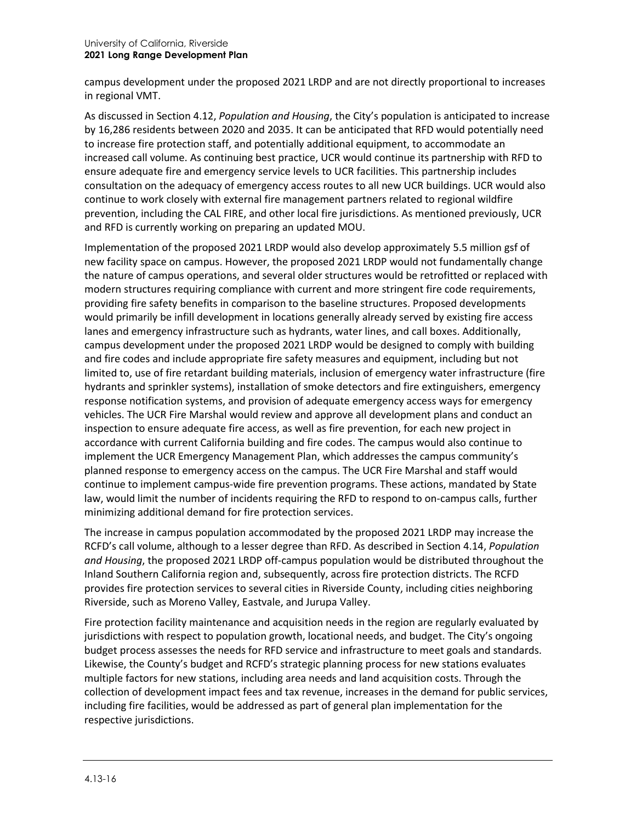campus development under the proposed 2021 LRDP and are not directly proportional to increases in regional VMT.

As discussed in Section 4.12, *Population and Housing*, the City's population is anticipated to increase by 16,286 residents between 2020 and 2035. It can be anticipated that RFD would potentially need to increase fire protection staff, and potentially additional equipment, to accommodate an increased call volume. As continuing best practice, UCR would continue its partnership with RFD to ensure adequate fire and emergency service levels to UCR facilities. This partnership includes consultation on the adequacy of emergency access routes to all new UCR buildings. UCR would also continue to work closely with external fire management partners related to regional wildfire prevention, including the CAL FIRE, and other local fire jurisdictions. As mentioned previously, UCR and RFD is currently working on preparing an updated MOU.

Implementation of the proposed 2021 LRDP would also develop approximately 5.5 million gsf of new facility space on campus. However, the proposed 2021 LRDP would not fundamentally change the nature of campus operations, and several older structures would be retrofitted or replaced with modern structures requiring compliance with current and more stringent fire code requirements, providing fire safety benefits in comparison to the baseline structures. Proposed developments would primarily be infill development in locations generally already served by existing fire access lanes and emergency infrastructure such as hydrants, water lines, and call boxes. Additionally, campus development under the proposed 2021 LRDP would be designed to comply with building and fire codes and include appropriate fire safety measures and equipment, including but not limited to, use of fire retardant building materials, inclusion of emergency water infrastructure (fire hydrants and sprinkler systems), installation of smoke detectors and fire extinguishers, emergency response notification systems, and provision of adequate emergency access ways for emergency vehicles. The UCR Fire Marshal would review and approve all development plans and conduct an inspection to ensure adequate fire access, as well as fire prevention, for each new project in accordance with current California building and fire codes. The campus would also continue to implement the UCR Emergency Management Plan, which addresses the campus community's planned response to emergency access on the campus. The UCR Fire Marshal and staff would continue to implement campus-wide fire prevention programs. These actions, mandated by State law, would limit the number of incidents requiring the RFD to respond to on-campus calls, further minimizing additional demand for fire protection services.

The increase in campus population accommodated by the proposed 2021 LRDP may increase the RCFD's call volume, although to a lesser degree than RFD. As described in Section 4.14, *Population and Housing*, the proposed 2021 LRDP off-campus population would be distributed throughout the Inland Southern California region and, subsequently, across fire protection districts. The RCFD provides fire protection services to several cities in Riverside County, including cities neighboring Riverside, such as Moreno Valley, Eastvale, and Jurupa Valley.

Fire protection facility maintenance and acquisition needs in the region are regularly evaluated by jurisdictions with respect to population growth, locational needs, and budget. The City's ongoing budget process assesses the needs for RFD service and infrastructure to meet goals and standards. Likewise, the County's budget and RCFD's strategic planning process for new stations evaluates multiple factors for new stations, including area needs and land acquisition costs. Through the collection of development impact fees and tax revenue, increases in the demand for public services, including fire facilities, would be addressed as part of general plan implementation for the respective jurisdictions.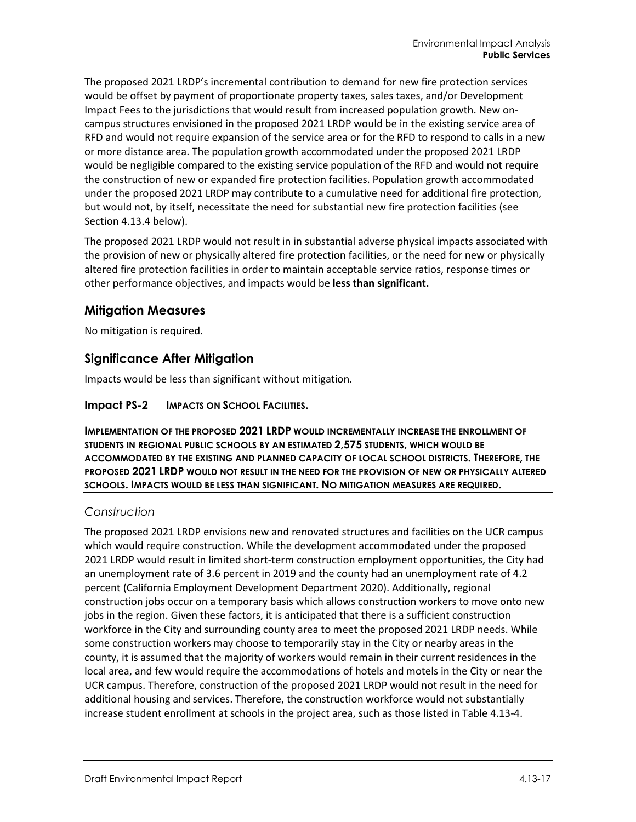The proposed 2021 LRDP's incremental contribution to demand for new fire protection services would be offset by payment of proportionate property taxes, sales taxes, and/or Development Impact Fees to the jurisdictions that would result from increased population growth. New oncampus structures envisioned in the proposed 2021 LRDP would be in the existing service area of RFD and would not require expansion of the service area or for the RFD to respond to calls in a new or more distance area. The population growth accommodated under the proposed 2021 LRDP would be negligible compared to the existing service population of the RFD and would not require the construction of new or expanded fire protection facilities. Population growth accommodated under the proposed 2021 LRDP may contribute to a cumulative need for additional fire protection, but would not, by itself, necessitate the need for substantial new fire protection facilities (see Section 4.13.4 below).

The proposed 2021 LRDP would not result in in substantial adverse physical impacts associated with the provision of new or physically altered fire protection facilities, or the need for new or physically altered fire protection facilities in order to maintain acceptable service ratios, response times or other performance objectives, and impacts would be **less than significant.**

#### **Mitigation Measures**

No mitigation is required.

#### **Significance After Mitigation**

Impacts would be less than significant without mitigation.

**Impact PS-2 IMPACTS ON SCHOOL FACILITIES.**

**IMPLEMENTATION OF THE PROPOSED 2021 LRDP WOULD INCREMENTALLY INCREASE THE ENROLLMENT OF STUDENTS IN REGIONAL PUBLIC SCHOOLS BY AN ESTIMATED 2,575 STUDENTS, WHICH WOULD BE ACCOMMODATED BY THE EXISTING AND PLANNED CAPACITY OF LOCAL SCHOOL DISTRICTS. THEREFORE, THE PROPOSED 2021 LRDP WOULD NOT RESULT IN THE NEED FOR THE PROVISION OF NEW OR PHYSICALLY ALTERED SCHOOLS. IMPACTS WOULD BE LESS THAN SIGNIFICANT. NO MITIGATION MEASURES ARE REQUIRED.**

#### *Construction*

The proposed 2021 LRDP envisions new and renovated structures and facilities on the UCR campus which would require construction. While the development accommodated under the proposed 2021 LRDP would result in limited short-term construction employment opportunities, the City had an unemployment rate of 3.6 percent in 2019 and the county had an unemployment rate of 4.2 percent (California Employment Development Department 2020). Additionally, regional construction jobs occur on a temporary basis which allows construction workers to move onto new jobs in the region. Given these factors, it is anticipated that there is a sufficient construction workforce in the City and surrounding county area to meet the proposed 2021 LRDP needs. While some construction workers may choose to temporarily stay in the City or nearby areas in the county, it is assumed that the majority of workers would remain in their current residences in the local area, and few would require the accommodations of hotels and motels in the City or near the UCR campus. Therefore, construction of the proposed 2021 LRDP would not result in the need for additional housing and services. Therefore, the construction workforce would not substantially increase student enrollment at schools in the project area, such as those listed in [Table 4.13-4.](#page-5-0)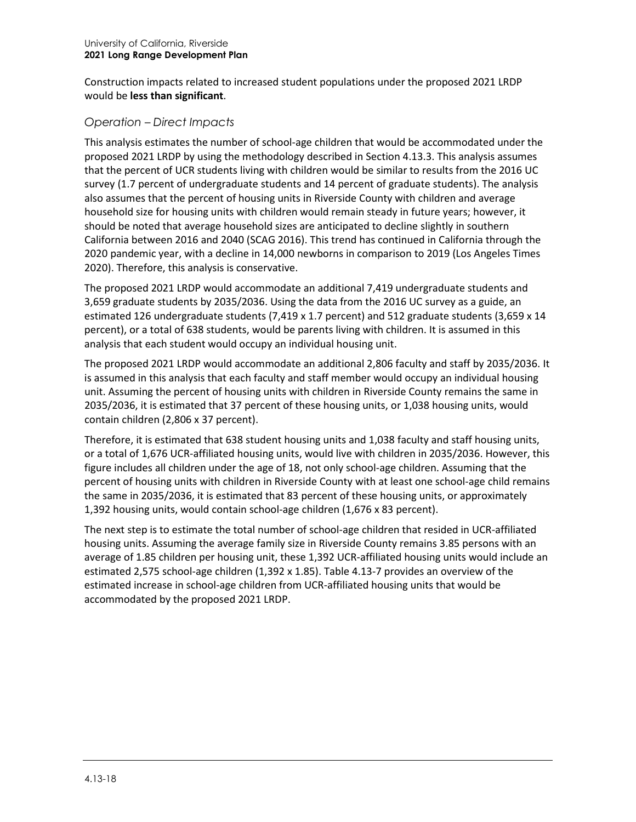Construction impacts related to increased student populations under the proposed 2021 LRDP would be **less than significant**.

#### *Operation – Direct Impacts*

This analysis estimates the number of school-age children that would be accommodated under the proposed 2021 LRDP by using the methodology described in Section 4.13.3. This analysis assumes that the percent of UCR students living with children would be similar to results from the 2016 UC survey (1.7 percent of undergraduate students and 14 percent of graduate students). The analysis also assumes that the percent of housing units in Riverside County with children and average household size for housing units with children would remain steady in future years; however, it should be noted that average household sizes are anticipated to decline slightly in southern California between 2016 and 2040 (SCAG 2016). This trend has continued in California through the 2020 pandemic year, with a decline in 14,000 newborns in comparison to 2019 (Los Angeles Times 2020). Therefore, this analysis is conservative.

The proposed 2021 LRDP would accommodate an additional 7,419 undergraduate students and 3,659 graduate students by 2035/2036. Using the data from the 2016 UC survey as a guide, an estimated 126 undergraduate students (7,419 x 1.7 percent) and 512 graduate students (3,659 x 14 percent), or a total of 638 students, would be parents living with children. It is assumed in this analysis that each student would occupy an individual housing unit.

The proposed 2021 LRDP would accommodate an additional 2,806 faculty and staff by 2035/2036. It is assumed in this analysis that each faculty and staff member would occupy an individual housing unit. Assuming the percent of housing units with children in Riverside County remains the same in 2035/2036, it is estimated that 37 percent of these housing units, or 1,038 housing units, would contain children (2,806 x 37 percent).

Therefore, it is estimated that 638 student housing units and 1,038 faculty and staff housing units, or a total of 1,676 UCR-affiliated housing units, would live with children in 2035/2036. However, this figure includes all children under the age of 18, not only school-age children. Assuming that the percent of housing units with children in Riverside County with at least one school-age child remains the same in 2035/2036, it is estimated that 83 percent of these housing units, or approximately 1,392 housing units, would contain school-age children (1,676 x 83 percent).

The next step is to estimate the total number of school-age children that resided in UCR-affiliated housing units. Assuming the average family size in Riverside County remains 3.85 persons with an average of 1.85 children per housing unit, these 1,392 UCR-affiliated housing units would include an estimated 2,575 school-age children (1,392 x 1.85). [Table 4.13-7](#page-18-0) provides an overview of the estimated increase in school-age children from UCR-affiliated housing units that would be accommodated by the proposed 2021 LRDP.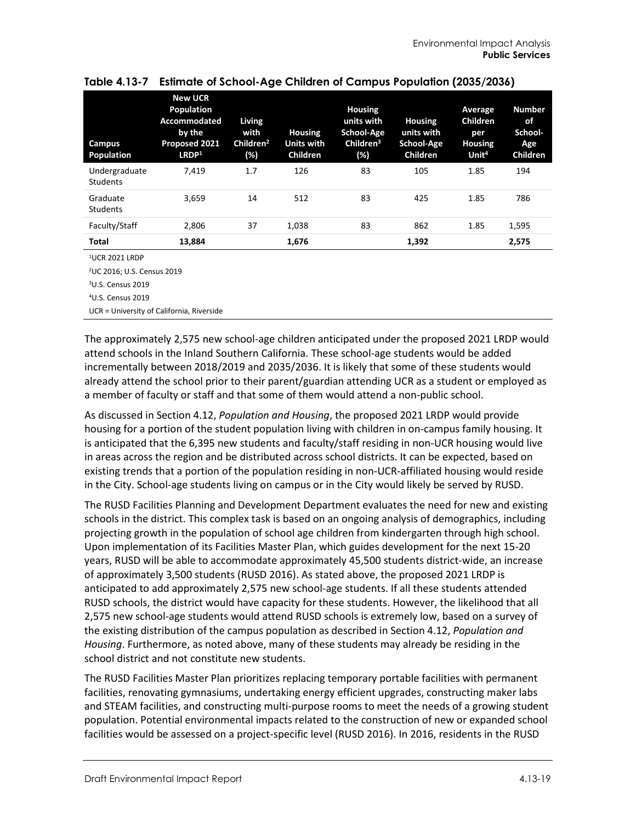| Campus<br>Population             | <b>New UCR</b><br><b>Population</b><br><b>Accommodated</b><br>by the<br><b>Proposed 2021</b><br>LRDP <sup>1</sup> | Living<br>with<br>Children <sup>2</sup><br>(%) | <b>Housing</b><br>Units with<br><b>Children</b> | <b>Housing</b><br>units with<br>School-Age<br>Children <sup>3</sup><br>(%) | <b>Housing</b><br>units with<br>School-Age<br><b>Children</b> | Average<br><b>Children</b><br>per<br><b>Housing</b><br>Unit <sup>4</sup> | <b>Number</b><br>of<br>School-<br>Age<br>Children |
|----------------------------------|-------------------------------------------------------------------------------------------------------------------|------------------------------------------------|-------------------------------------------------|----------------------------------------------------------------------------|---------------------------------------------------------------|--------------------------------------------------------------------------|---------------------------------------------------|
| Undergraduate<br><b>Students</b> | 7.419                                                                                                             | 1.7                                            | 126                                             | 83                                                                         | 105                                                           | 1.85                                                                     | 194                                               |
| Graduate<br><b>Students</b>      | 3.659                                                                                                             | 14                                             | 512                                             | 83                                                                         | 425                                                           | 1.85                                                                     | 786                                               |
| Faculty/Staff                    | 2,806                                                                                                             | 37                                             | 1,038                                           | 83                                                                         | 862                                                           | 1.85                                                                     | 1,595                                             |
| Total                            | 13,884                                                                                                            |                                                | 1,676                                           |                                                                            | 1,392                                                         |                                                                          | 2,575                                             |

#### <span id="page-18-0"></span>**Table 4.13-7 Estimate of School-Age Children of Campus Population (2035/2036)**

1UCR 2021 LRDP

2UC 2016; U.S. Census 2019

3 U.S. Census 2019

4U.S. Census 2019

UCR = University of California, Riverside

The approximately 2,575 new school-age children anticipated under the proposed 2021 LRDP would attend schools in the Inland Southern California. These school-age students would be added incrementally between 2018/2019 and 2035/2036. It is likely that some of these students would already attend the school prior to their parent/guardian attending UCR as a student or employed as a member of faculty or staff and that some of them would attend a non-public school.

As discussed in Section 4.12, *Population and Housing*, the proposed 2021 LRDP would provide housing for a portion of the student population living with children in on-campus family housing. It is anticipated that the 6,395 new students and faculty/staff residing in non-UCR housing would live in areas across the region and be distributed across school districts. It can be expected, based on existing trends that a portion of the population residing in non-UCR-affiliated housing would reside in the City. School-age students living on campus or in the City would likely be served by RUSD.

The RUSD Facilities Planning and Development Department evaluates the need for new and existing schools in the district. This complex task is based on an ongoing analysis of demographics, including projecting growth in the population of school age children from kindergarten through high school. Upon implementation of its Facilities Master Plan, which guides development for the next 15-20 years, RUSD will be able to accommodate approximately 45,500 students district-wide, an increase of approximately 3,500 students (RUSD 2016). As stated above, the proposed 2021 LRDP is anticipated to add approximately 2,575 new school-age students. If all these students attended RUSD schools, the district would have capacity for these students. However, the likelihood that all 2,575 new school-age students would attend RUSD schools is extremely low, based on a survey of the existing distribution of the campus population as described in Section 4.12, *Population and Housing*. Furthermore, as noted above, many of these students may already be residing in the school district and not constitute new students.

The RUSD Facilities Master Plan prioritizes replacing temporary portable facilities with permanent facilities, renovating gymnasiums, undertaking energy efficient upgrades, constructing maker labs and STEAM facilities, and constructing multi-purpose rooms to meet the needs of a growing student population. Potential environmental impacts related to the construction of new or expanded school facilities would be assessed on a project-specific level (RUSD 2016). In 2016, residents in the RUSD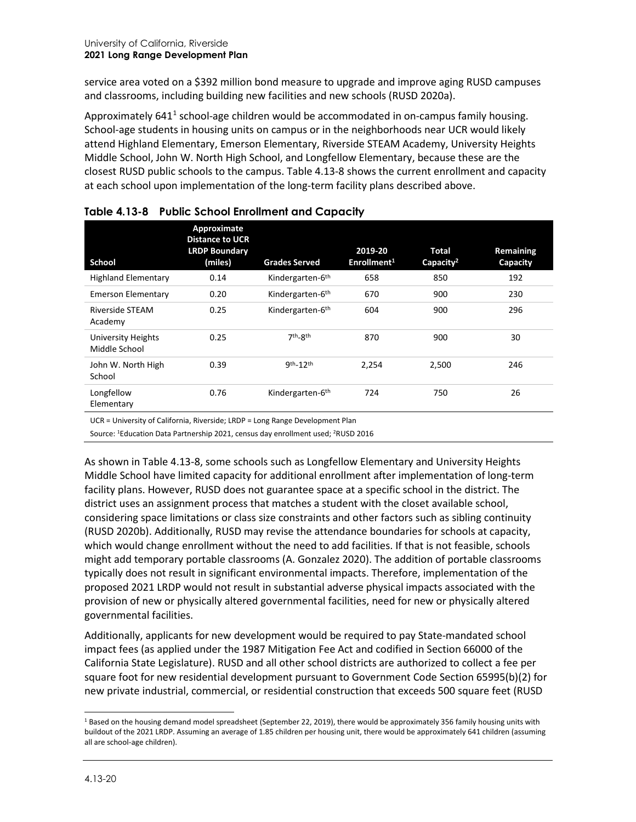service area voted on a \$392 million bond measure to upgrade and improve aging RUSD campuses and classrooms, including building new facilities and new schools (RUSD 2020a).

Approximately 64[1](#page-19-1)<sup>1</sup> school-age children would be accommodated in on-campus family housing. School-age students in housing units on campus or in the neighborhoods near UCR would likely attend Highland Elementary, Emerson Elementary, Riverside STEAM Academy, University Heights Middle School, John W. North High School, and Longfellow Elementary, because these are the closest RUSD public schools to the campus. [Table 4.13-8](#page-19-0) shows the current enrollment and capacity at each school upon implementation of the long-term facility plans described above.

| School                                     | Approximate<br><b>Distance to UCR</b><br><b>LRDP Boundary</b><br>(miles) | <b>Grades Served</b>             | 2019-20<br>Enrollment <sup>1</sup> | <b>Total</b><br>Capacity <sup>2</sup> | Remaining<br>Capacity |
|--------------------------------------------|--------------------------------------------------------------------------|----------------------------------|------------------------------------|---------------------------------------|-----------------------|
| <b>Highland Elementary</b>                 | 0.14                                                                     | Kindergarten-6 <sup>th</sup>     | 658                                | 850                                   | 192                   |
| Emerson Elementary                         | 0.20                                                                     | Kindergarten-6 <sup>th</sup>     | 670                                | 900                                   | 230                   |
| Riverside STEAM<br>Academy                 | 0.25                                                                     | Kindergarten-6 <sup>th</sup>     | 604                                | 900                                   | 296                   |
| <b>University Heights</b><br>Middle School | 0.25                                                                     | 7 <sup>th</sup> -8 <sup>th</sup> | 870                                | 900                                   | 30                    |
| John W. North High<br>School               | 0.39                                                                     | $9th - 12th$                     | 2,254                              | 2,500                                 | 246                   |
| Longfellow<br>Elementary                   | 0.76                                                                     | Kindergarten-6 <sup>th</sup>     | 724                                | 750                                   | 26                    |

<span id="page-19-0"></span>

|  | Table 4.13-8 Public School Enrollment and Capacity |  |  |  |  |
|--|----------------------------------------------------|--|--|--|--|
|--|----------------------------------------------------|--|--|--|--|

UCR = University of California, Riverside; LRDP = Long Range Development Plan

Source: 1Education Data Partnership 2021, census day enrollment used; 2RUSD 2016

As shown in [Table 4.13-8,](#page-19-0) some schools such as Longfellow Elementary and University Heights Middle School have limited capacity for additional enrollment after implementation of long-term facility plans. However, RUSD does not guarantee space at a specific school in the district. The district uses an assignment process that matches a student with the closet available school, considering space limitations or class size constraints and other factors such as sibling continuity (RUSD 2020b). Additionally, RUSD may revise the attendance boundaries for schools at capacity, which would change enrollment without the need to add facilities. If that is not feasible, schools might add temporary portable classrooms (A. Gonzalez 2020). The addition of portable classrooms typically does not result in significant environmental impacts. Therefore, implementation of the proposed 2021 LRDP would not result in substantial adverse physical impacts associated with the provision of new or physically altered governmental facilities, need for new or physically altered governmental facilities.

Additionally, applicants for new development would be required to pay State-mandated school impact fees (as applied under the 1987 Mitigation Fee Act and codified in Section 66000 of the California State Legislature). RUSD and all other school districts are authorized to collect a fee per square foot for new residential development pursuant to Government Code Section 65995(b)(2) for new private industrial, commercial, or residential construction that exceeds 500 square feet (RUSD

<span id="page-19-1"></span><sup>&</sup>lt;sup>1</sup> Based on the housing demand model spreadsheet (September 22, 2019), there would be approximately 356 family housing units with buildout of the 2021 LRDP. Assuming an average of 1.85 children per housing unit, there would be approximately 641 children (assuming all are school-age children).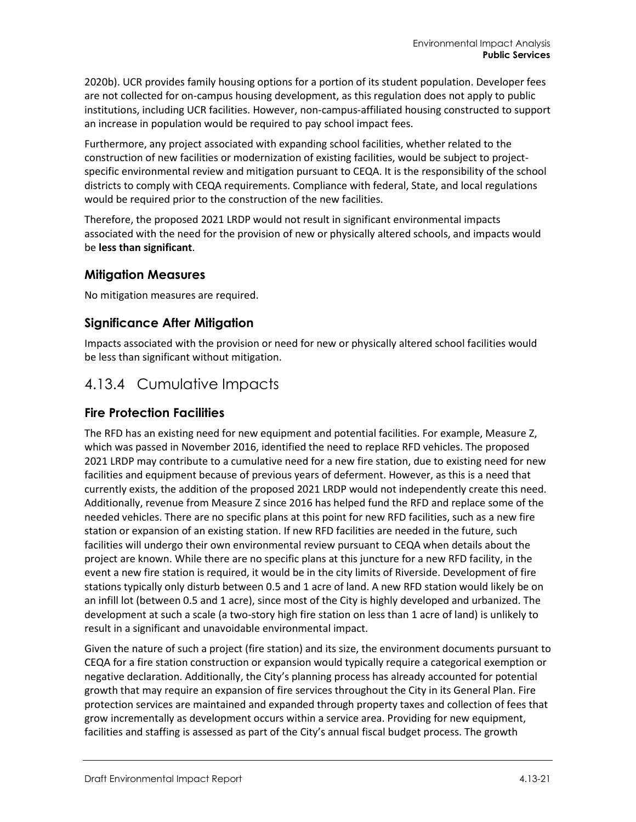2020b). UCR provides family housing options for a portion of its student population. Developer fees are not collected for on-campus housing development, as this regulation does not apply to public institutions, including UCR facilities. However, non-campus-affiliated housing constructed to support an increase in population would be required to pay school impact fees.

Furthermore, any project associated with expanding school facilities, whether related to the construction of new facilities or modernization of existing facilities, would be subject to projectspecific environmental review and mitigation pursuant to CEQA. It is the responsibility of the school districts to comply with CEQA requirements. Compliance with federal, State, and local regulations would be required prior to the construction of the new facilities.

Therefore, the proposed 2021 LRDP would not result in significant environmental impacts associated with the need for the provision of new or physically altered schools, and impacts would be **less than significant**.

#### **Mitigation Measures**

No mitigation measures are required.

#### **Significance After Mitigation**

Impacts associated with the provision or need for new or physically altered school facilities would be less than significant without mitigation.

## 4.13.4 Cumulative Impacts

#### **Fire Protection Facilities**

The RFD has an existing need for new equipment and potential facilities. For example, Measure Z, which was passed in November 2016, identified the need to replace RFD vehicles. The proposed 2021 LRDP may contribute to a cumulative need for a new fire station, due to existing need for new facilities and equipment because of previous years of deferment. However, as this is a need that currently exists, the addition of the proposed 2021 LRDP would not independently create this need. Additionally, revenue from Measure Z since 2016 has helped fund the RFD and replace some of the needed vehicles. There are no specific plans at this point for new RFD facilities, such as a new fire station or expansion of an existing station. If new RFD facilities are needed in the future, such facilities will undergo their own environmental review pursuant to CEQA when details about the project are known. While there are no specific plans at this juncture for a new RFD facility, in the event a new fire station is required, it would be in the city limits of Riverside. Development of fire stations typically only disturb between 0.5 and 1 acre of land. A new RFD station would likely be on an infill lot (between 0.5 and 1 acre), since most of the City is highly developed and urbanized. The development at such a scale (a two-story high fire station on less than 1 acre of land) is unlikely to result in a significant and unavoidable environmental impact.

Given the nature of such a project (fire station) and its size, the environment documents pursuant to CEQA for a fire station construction or expansion would typically require a categorical exemption or negative declaration. Additionally, the City's planning process has already accounted for potential growth that may require an expansion of fire services throughout the City in its General Plan. Fire protection services are maintained and expanded through property taxes and collection of fees that grow incrementally as development occurs within a service area. Providing for new equipment, facilities and staffing is assessed as part of the City's annual fiscal budget process. The growth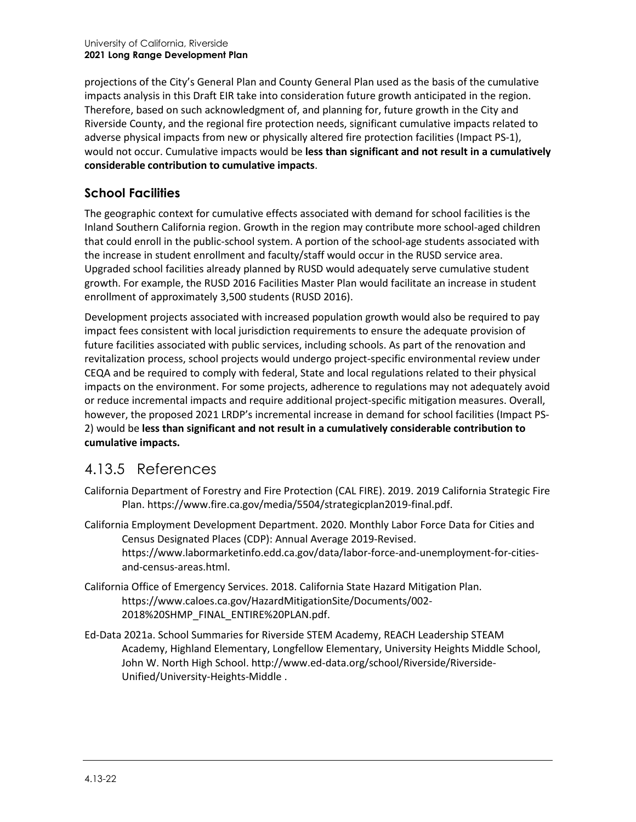projections of the City's General Plan and County General Plan used as the basis of the cumulative impacts analysis in this Draft EIR take into consideration future growth anticipated in the region. Therefore, based on such acknowledgment of, and planning for, future growth in the City and Riverside County, and the regional fire protection needs, significant cumulative impacts related to adverse physical impacts from new or physically altered fire protection facilities (Impact PS-1), would not occur. Cumulative impacts would be **less than significant and not result in a cumulatively considerable contribution to cumulative impacts**.

## **School Facilities**

The geographic context for cumulative effects associated with demand for school facilities is the Inland Southern California region. Growth in the region may contribute more school-aged children that could enroll in the public-school system. A portion of the school-age students associated with the increase in student enrollment and faculty/staff would occur in the RUSD service area. Upgraded school facilities already planned by RUSD would adequately serve cumulative student growth. For example, the RUSD 2016 Facilities Master Plan would facilitate an increase in student enrollment of approximately 3,500 students (RUSD 2016).

Development projects associated with increased population growth would also be required to pay impact fees consistent with local jurisdiction requirements to ensure the adequate provision of future facilities associated with public services, including schools. As part of the renovation and revitalization process, school projects would undergo project-specific environmental review under CEQA and be required to comply with federal, State and local regulations related to their physical impacts on the environment. For some projects, adherence to regulations may not adequately avoid or reduce incremental impacts and require additional project-specific mitigation measures. Overall, however, the proposed 2021 LRDP's incremental increase in demand for school facilities (Impact PS-2) would be **less than significant and not result in a cumulatively considerable contribution to cumulative impacts.**

## 4.13.5 References

- California Department of Forestry and Fire Protection (CAL FIRE). 2019. 2019 California Strategic Fire Plan. [https://www.fire.ca.gov/media/5504/strategicplan2019-final.pdf.](https://www.fire.ca.gov/media/5504/strategicplan2019-final.pdf)
- California Employment Development Department. 2020. Monthly Labor Force Data for Cities and Census Designated Places (CDP): Annual Average 2019-Revised. https://www.labormarketinfo.edd.ca.gov/data/labor-force-and-unemployment-for-citiesand-census-areas.html.
- California Office of Emergency Services. 2018. California State Hazard Mitigation Plan. [https://www.caloes.ca.gov/HazardMitigationSite/Documents/002-](https://www.caloes.ca.gov/HazardMitigationSite/Documents/002-2018%20SHMP_FINAL_ENTIRE%20PLAN.pdf) [2018%20SHMP\\_FINAL\\_ENTIRE%20PLAN.pdf.](https://www.caloes.ca.gov/HazardMitigationSite/Documents/002-2018%20SHMP_FINAL_ENTIRE%20PLAN.pdf)
- Ed-Data 2021a. School Summaries for Riverside STEM Academy, REACH Leadership STEAM Academy, Highland Elementary, Longfellow Elementary, University Heights Middle School, John W. North High School. [http://www.ed-data.org/school/Riverside/Riverside-](http://www.ed-data.org/school/Riverside/Riverside-Unified/University-Heights-Middle)[Unified/University-Heights-Middle](http://www.ed-data.org/school/Riverside/Riverside-Unified/University-Heights-Middle) .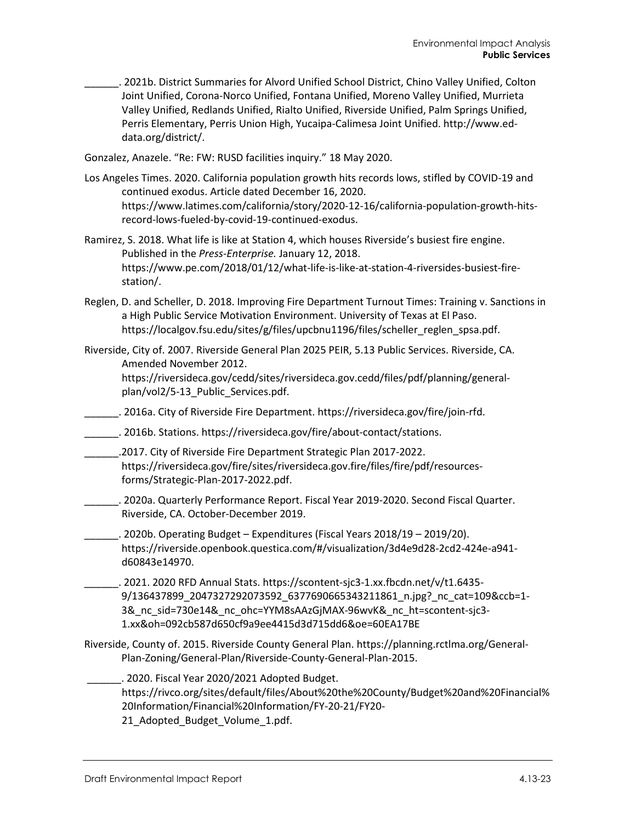\_\_\_\_\_\_. 2021b. District Summaries for Alvord Unified School District, Chino Valley Unified, Colton Joint Unified, Corona-Norco Unified, Fontana Unified, Moreno Valley Unified, Murrieta Valley Unified, Redlands Unified, Rialto Unified, Riverside Unified, Palm Springs Unified, Perris Elementary, Perris Union High, Yucaipa-Calimesa Joint Unified. [http://www.ed](http://www.ed-data.org/district/)[data.org/district/.](http://www.ed-data.org/district/)

Gonzalez, Anazele. "Re: FW: RUSD facilities inquiry." 18 May 2020.

- Los Angeles Times. 2020. California population growth hits records lows, stifled by COVID-19 and continued exodus. Article dated December 16, 2020. https://www.latimes.com/california/story/2020-12-16/california-population-growth-hitsrecord-lows-fueled-by-covid-19-continued-exodus.
- Ramirez, S. 2018. What life is like at Station 4, which houses Riverside's busiest fire engine. Published in the *Press-Enterprise.* January 12, 2018. [https://www.pe.com/2018/01/12/what-life-is-like-at-station-4-riversides-busiest-fire](https://www.pe.com/2018/01/12/what-life-is-like-at-station-4-riversides-busiest-fire-station/)[station/.](https://www.pe.com/2018/01/12/what-life-is-like-at-station-4-riversides-busiest-fire-station/)
- Reglen, D. and Scheller, D. 2018. Improving Fire Department Turnout Times: Training v. Sanctions in a High Public Service Motivation Environment. University of Texas at El Paso. [https://localgov.fsu.edu/sites/g/files/upcbnu1196/files/scheller\\_reglen\\_spsa.pdf.](https://localgov.fsu.edu/sites/g/files/upcbnu1196/files/scheller_reglen_spsa.pdf)
- Riverside, City of. 2007. Riverside General Plan 2025 PEIR, 5.13 Public Services. Riverside, CA. Amended November 2012.

[https://riversideca.gov/cedd/sites/riversideca.gov.cedd/files/pdf/planning/general](https://riversideca.gov/cedd/sites/riversideca.gov.cedd/files/pdf/planning/general-plan/vol2/5-13_Public_Services.pdf)[plan/vol2/5-13\\_Public\\_Services.pdf.](https://riversideca.gov/cedd/sites/riversideca.gov.cedd/files/pdf/planning/general-plan/vol2/5-13_Public_Services.pdf)

- \_\_\_\_\_\_. 2016a. City of Riverside Fire Department. [https://riversideca.gov/fire/join-rfd.](https://riversideca.gov/fire/join-rfd)
- \_\_\_\_\_\_. 2016b. Stations. [https://riversideca.gov/fire/about-contact/stations.](https://riversideca.gov/fire/about-contact/stations)
- \_\_\_\_\_\_.2017. City of Riverside Fire Department Strategic Plan 2017-2022. [https://riversideca.gov/fire/sites/riversideca.gov.fire/files/fire/pdf/resources](https://riversideca.gov/fire/sites/riversideca.gov.fire/files/fire/pdf/resources-forms/Strategic-Plan-2017-2022.pdf)[forms/Strategic-Plan-2017-2022.pdf.](https://riversideca.gov/fire/sites/riversideca.gov.fire/files/fire/pdf/resources-forms/Strategic-Plan-2017-2022.pdf)
- \_\_\_\_\_\_. 2020a. Quarterly Performance Report. Fiscal Year 2019-2020. Second Fiscal Quarter. Riverside, CA. October-December 2019.
- \_\_\_\_\_\_. 2020b. Operating Budget Expenditures (Fiscal Years 2018/19 2019/20). [https://riverside.openbook.questica.com/#/visualization/3d4e9d28-2cd2-424e-a941](https://riverside.openbook.questica.com/#/visualization/3d4e9d28-2cd2-424e-a941-d60843e14970) [d60843e14970.](https://riverside.openbook.questica.com/#/visualization/3d4e9d28-2cd2-424e-a941-d60843e14970)
- \_\_\_\_\_\_. 2021. 2020 RFD Annual Stats. https://scontent-sjc3-1.xx.fbcdn.net/v/t1.6435- 9/136437899\_2047327292073592\_6377690665343211861\_n.jpg?\_nc\_cat=109&ccb=1-3& nc sid=730e14& nc ohc=YYM8sAAzGjMAX-96wvK& nc ht=scontent-sjc3-1.xx&oh=092cb587d650cf9a9ee4415d3d715dd6&oe=60EA17BE
- Riverside, County of. 2015. Riverside County General Plan. [https://planning.rctlma.org/General-](https://planning.rctlma.org/General-Plan-Zoning/General-Plan/Riverside-County-General-Plan-2015)[Plan-Zoning/General-Plan/Riverside-County-General-Plan-2015.](https://planning.rctlma.org/General-Plan-Zoning/General-Plan/Riverside-County-General-Plan-2015)

\_\_\_\_\_\_. 2020. Fiscal Year 2020/2021 Adopted Budget. [https://rivco.org/sites/default/files/About%20the%20County/Budget%20and%20Financial%](https://rivco.org/sites/default/files/About%20the%20County/Budget%20and%20Financial%20Information/Financial%20Information/FY-20-21/FY20-21_Adopted_Budget_Volume_1.pdf) [20Information/Financial%20Information/FY-20-21/FY20-](https://rivco.org/sites/default/files/About%20the%20County/Budget%20and%20Financial%20Information/Financial%20Information/FY-20-21/FY20-21_Adopted_Budget_Volume_1.pdf) 21 Adopted Budget Volume 1.pdf.